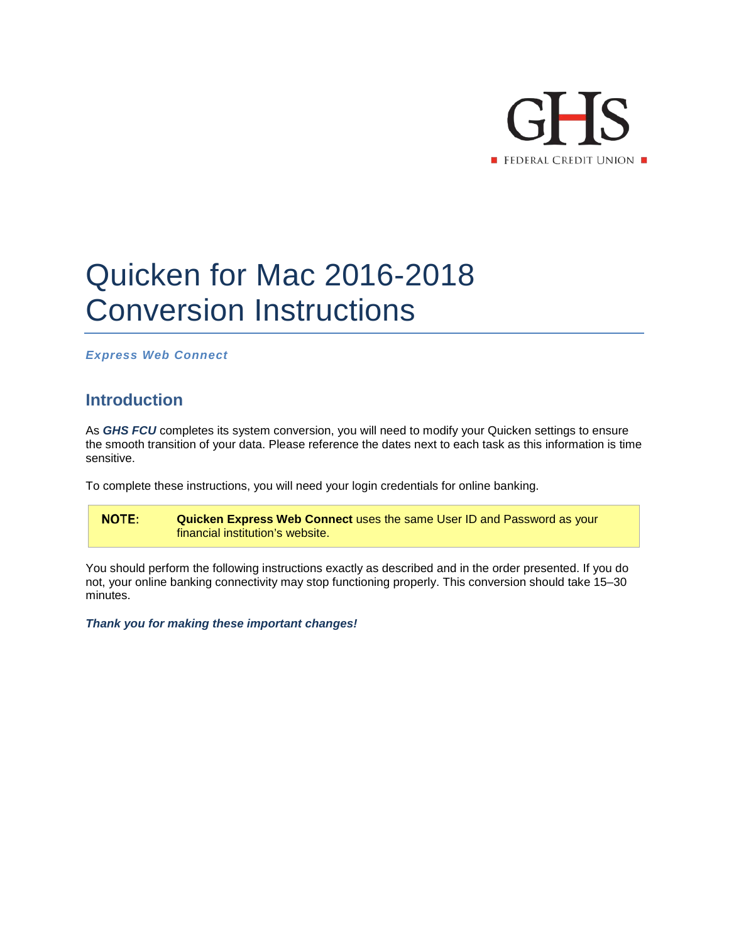

## Quicken for Mac 2016-2018 Conversion Instructions

*Express Web Connect*

## **Introduction**

As *GHS FCU* completes its system conversion, you will need to modify your Quicken settings to ensure the smooth transition of your data. Please reference the dates next to each task as this information is time sensitive.

To complete these instructions, you will need your login credentials for online banking.

**NOTE: Quicken Express Web Connect** uses the same User ID and Password as your financial institution's website.

You should perform the following instructions exactly as described and in the order presented. If you do not, your online banking connectivity may stop functioning properly. This conversion should take 15–30 minutes.

*Thank you for making these important changes!*